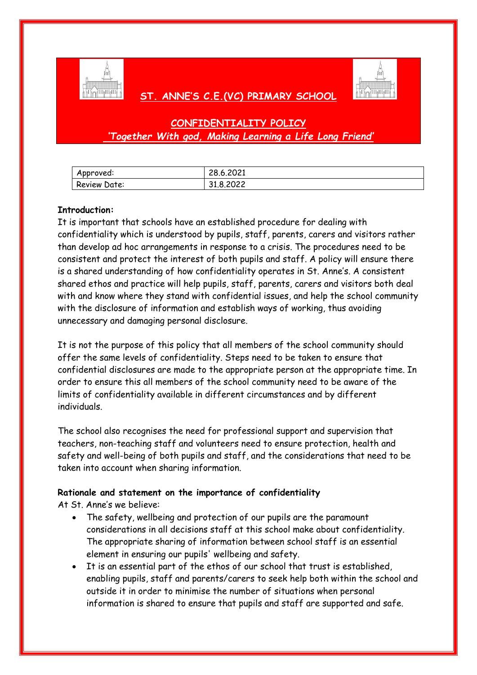

# **ST. ANNE'S C.E.(VC) PRIMARY SCHOOL**



# **CONFIDENTIALITY POLICY** *'Together With god, Making Learning a Life Long Friend'*

| Approved:    | 28.6.2021 |
|--------------|-----------|
| Review Date: | 31.8.2022 |

# **Introduction:**

It is important that schools have an established procedure for dealing with confidentiality which is understood by pupils, staff, parents, carers and visitors rather than develop ad hoc arrangements in response to a crisis. The procedures need to be consistent and protect the interest of both pupils and staff. A policy will ensure there is a shared understanding of how confidentiality operates in St. Anne's. A consistent shared ethos and practice will help pupils, staff, parents, carers and visitors both deal with and know where they stand with confidential issues, and help the school community with the disclosure of information and establish ways of working, thus avoiding unnecessary and damaging personal disclosure.

It is not the purpose of this policy that all members of the school community should offer the same levels of confidentiality. Steps need to be taken to ensure that confidential disclosures are made to the appropriate person at the appropriate time. In order to ensure this all members of the school community need to be aware of the limits of confidentiality available in different circumstances and by different individuals.

The school also recognises the need for professional support and supervision that teachers, non-teaching staff and volunteers need to ensure protection, health and safety and well-being of both pupils and staff, and the considerations that need to be taken into account when sharing information.

# **Rationale and statement on the importance of confidentiality**

At St. Anne's we believe:

- The safety, wellbeing and protection of our pupils are the paramount considerations in all decisions staff at this school make about confidentiality. The appropriate sharing of information between school staff is an essential element in ensuring our pupils' wellbeing and safety.
- It is an essential part of the ethos of our school that trust is established, enabling pupils, staff and parents/carers to seek help both within the school and outside it in order to minimise the number of situations when personal information is shared to ensure that pupils and staff are supported and safe.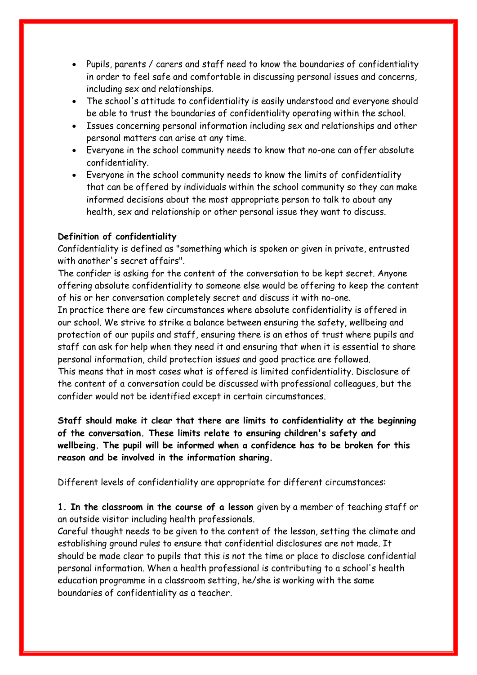- Pupils, parents / carers and staff need to know the boundaries of confidentiality in order to feel safe and comfortable in discussing personal issues and concerns, including sex and relationships.
- The school's attitude to confidentiality is easily understood and everyone should be able to trust the boundaries of confidentiality operating within the school.
- Issues concerning personal information including sex and relationships and other personal matters can arise at any time.
- Everyone in the school community needs to know that no-one can offer absolute confidentiality.
- Everyone in the school community needs to know the limits of confidentiality that can be offered by individuals within the school community so they can make informed decisions about the most appropriate person to talk to about any health, sex and relationship or other personal issue they want to discuss.

# **Definition of confidentiality**

Confidentiality is defined as "something which is spoken or given in private, entrusted with another's secret affairs".

The confider is asking for the content of the conversation to be kept secret. Anyone offering absolute confidentiality to someone else would be offering to keep the content of his or her conversation completely secret and discuss it with no-one.

In practice there are few circumstances where absolute confidentiality is offered in our school. We strive to strike a balance between ensuring the safety, wellbeing and protection of our pupils and staff, ensuring there is an ethos of trust where pupils and staff can ask for help when they need it and ensuring that when it is essential to share personal information, child protection issues and good practice are followed.

This means that in most cases what is offered is limited confidentiality. Disclosure of the content of a conversation could be discussed with professional colleagues, but the confider would not be identified except in certain circumstances.

**Staff should make it clear that there are limits to confidentiality at the beginning of the conversation. These limits relate to ensuring children's safety and wellbeing. The pupil will be informed when a confidence has to be broken for this reason and be involved in the information sharing.**

Different levels of confidentiality are appropriate for different circumstances:

**1. In the classroom in the course of a lesson** given by a member of teaching staff or an outside visitor including health professionals.

Careful thought needs to be given to the content of the lesson, setting the climate and establishing ground rules to ensure that confidential disclosures are not made. It should be made clear to pupils that this is not the time or place to disclose confidential personal information. When a health professional is contributing to a school's health education programme in a classroom setting, he/she is working with the same boundaries of confidentiality as a teacher.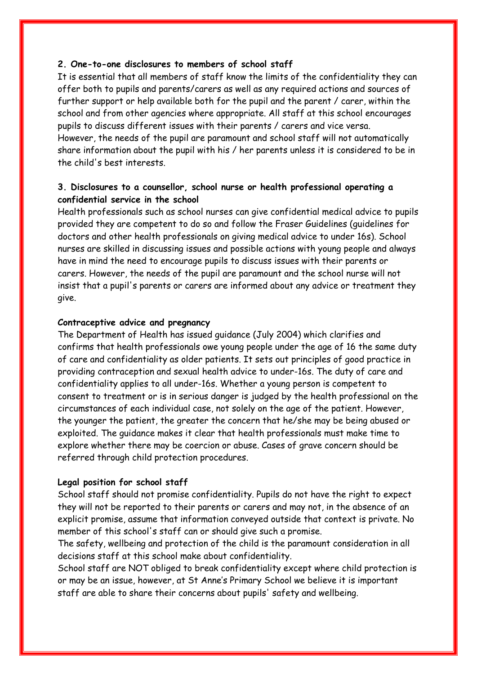# **2. One-to-one disclosures to members of school staff**

It is essential that all members of staff know the limits of the confidentiality they can offer both to pupils and parents/carers as well as any required actions and sources of further support or help available both for the pupil and the parent / carer, within the school and from other agencies where appropriate. All staff at this school encourages pupils to discuss different issues with their parents / carers and vice versa. However, the needs of the pupil are paramount and school staff will not automatically share information about the pupil with his / her parents unless it is considered to be in the child's best interests.

# **3. Disclosures to a counsellor, school nurse or health professional operating a confidential service in the school**

Health professionals such as school nurses can give confidential medical advice to pupils provided they are competent to do so and follow the Fraser Guidelines (guidelines for doctors and other health professionals on giving medical advice to under 16s). School nurses are skilled in discussing issues and possible actions with young people and always have in mind the need to encourage pupils to discuss issues with their parents or carers. However, the needs of the pupil are paramount and the school nurse will not insist that a pupil's parents or carers are informed about any advice or treatment they give.

## **Contraceptive advice and pregnancy**

The Department of Health has issued guidance (July 2004) which clarifies and confirms that health professionals owe young people under the age of 16 the same duty of care and confidentiality as older patients. It sets out principles of good practice in providing contraception and sexual health advice to under-16s. The duty of care and confidentiality applies to all under-16s. Whether a young person is competent to consent to treatment or is in serious danger is judged by the health professional on the circumstances of each individual case, not solely on the age of the patient. However, the younger the patient, the greater the concern that he/she may be being abused or exploited. The guidance makes it clear that health professionals must make time to explore whether there may be coercion or abuse. Cases of grave concern should be referred through child protection procedures.

### **Legal position for school staff**

School staff should not promise confidentiality. Pupils do not have the right to expect they will not be reported to their parents or carers and may not, in the absence of an explicit promise, assume that information conveyed outside that context is private. No member of this school's staff can or should give such a promise.

The safety, wellbeing and protection of the child is the paramount consideration in all decisions staff at this school make about confidentiality.

School staff are NOT obliged to break confidentiality except where child protection is or may be an issue, however, at St Anne's Primary School we believe it is important staff are able to share their concerns about pupils' safety and wellbeing.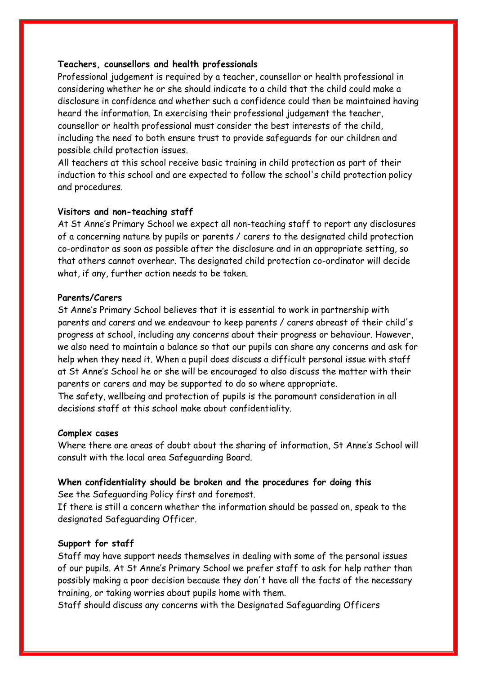# **Teachers, counsellors and health professionals**

Professional judgement is required by a teacher, counsellor or health professional in considering whether he or she should indicate to a child that the child could make a disclosure in confidence and whether such a confidence could then be maintained having heard the information. In exercising their professional judgement the teacher, counsellor or health professional must consider the best interests of the child, including the need to both ensure trust to provide safeguards for our children and possible child protection issues.

All teachers at this school receive basic training in child protection as part of their induction to this school and are expected to follow the school's child protection policy and procedures.

#### **Visitors and non-teaching staff**

At St Anne's Primary School we expect all non-teaching staff to report any disclosures of a concerning nature by pupils or parents / carers to the designated child protection co-ordinator as soon as possible after the disclosure and in an appropriate setting, so that others cannot overhear. The designated child protection co-ordinator will decide what, if any, further action needs to be taken.

## **Parents/Carers**

St Anne's Primary School believes that it is essential to work in partnership with parents and carers and we endeavour to keep parents / carers abreast of their child's progress at school, including any concerns about their progress or behaviour. However, we also need to maintain a balance so that our pupils can share any concerns and ask for help when they need it. When a pupil does discuss a difficult personal issue with staff at St Anne's School he or she will be encouraged to also discuss the matter with their parents or carers and may be supported to do so where appropriate.

The safety, wellbeing and protection of pupils is the paramount consideration in all decisions staff at this school make about confidentiality.

#### **Complex cases**

Where there are areas of doubt about the sharing of information, St Anne's School will consult with the local area Safeguarding Board.

# **When confidentiality should be broken and the procedures for doing this**

See the Safeguarding Policy first and foremost.

If there is still a concern whether the information should be passed on, speak to the designated Safeguarding Officer.

# **Support for staff**

Staff may have support needs themselves in dealing with some of the personal issues of our pupils. At St Anne's Primary School we prefer staff to ask for help rather than possibly making a poor decision because they don't have all the facts of the necessary training, or taking worries about pupils home with them.

Staff should discuss any concerns with the Designated Safeguarding Officers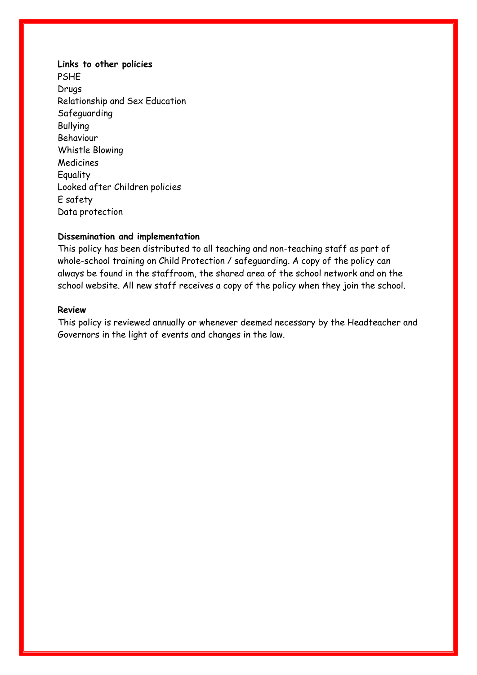**Links to other policies** PSHE Drugs Relationship and Sex Education Safeguarding Bullying Behaviour Whistle Blowing **Medicines** Equality Looked after Children policies E safety Data protection

# **Dissemination and implementation**

This policy has been distributed to all teaching and non-teaching staff as part of whole-school training on Child Protection / safeguarding. A copy of the policy can always be found in the staffroom, the shared area of the school network and on the school website. All new staff receives a copy of the policy when they join the school.

# **Review**

This policy is reviewed annually or whenever deemed necessary by the Headteacher and Governors in the light of events and changes in the law.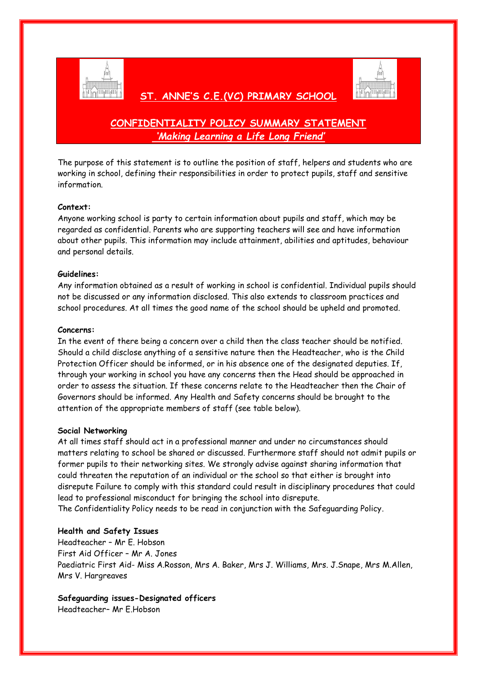

# **CONFIDENTIALITY POLICY SUMMARY STATEMENT** *'Making Learning a Life Long Friend'*

 **ST. ANNE'S C.E.(VC) PRIMARY SCHOOL** 

The purpose of this statement is to outline the position of staff, helpers and students who are working in school, defining their responsibilities in order to protect pupils, staff and sensitive information.

#### **Context:**

Anyone working school is party to certain information about pupils and staff, which may be regarded as confidential. Parents who are supporting teachers will see and have information about other pupils. This information may include attainment, abilities and aptitudes, behaviour and personal details.

#### **Guidelines:**

Any information obtained as a result of working in school is confidential. Individual pupils should not be discussed or any information disclosed. This also extends to classroom practices and school procedures. At all times the good name of the school should be upheld and promoted.

#### **Concerns:**

In the event of there being a concern over a child then the class teacher should be notified. Should a child disclose anything of a sensitive nature then the Headteacher, who is the Child Protection Officer should be informed, or in his absence one of the designated deputies. If, through your working in school you have any concerns then the Head should be approached in order to assess the situation. If these concerns relate to the Headteacher then the Chair of Governors should be informed. Any Health and Safety concerns should be brought to the attention of the appropriate members of staff (see table below).

#### **Social Networking**

At all times staff should act in a professional manner and under no circumstances should matters relating to school be shared or discussed. Furthermore staff should not admit pupils or former pupils to their networking sites. We strongly advise against sharing information that could threaten the reputation of an individual or the school so that either is brought into disrepute Failure to comply with this standard could result in disciplinary procedures that could lead to professional misconduct for bringing the school into disrepute. The Confidentiality Policy needs to be read in conjunction with the Safeguarding Policy.

# **Health and Safety Issues**

Headteacher – Mr E. Hobson First Aid Officer – Mr A. Jones Paediatric First Aid- Miss A.Rosson, Mrs A. Baker, Mrs J. Williams, Mrs. J.Snape, Mrs M.Allen, Mrs V. Hargreaves

# **Safeguarding issues-Designated officers**

Headteacher– Mr E.Hobson